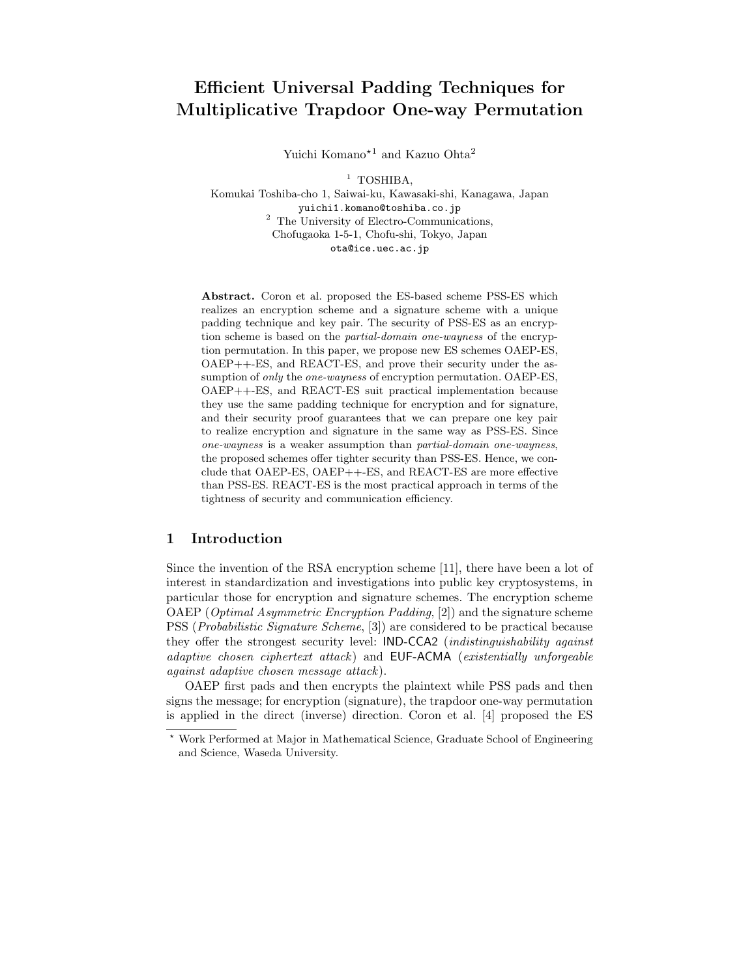# Efficient Universal Padding Techniques for Multiplicative Trapdoor One-way Permutation

Yuichi Komano<sup> $*1$ </sup> and Kazuo Ohta<sup>2</sup>

 $1$  TOSHIBA. Komukai Toshiba-cho 1, Saiwai-ku, Kawasaki-shi, Kanagawa, Japan yuichi1.komano@toshiba.co.jp <sup>2</sup> The University of Electro-Communications, Chofugaoka 1-5-1, Chofu-shi, Tokyo, Japan ota@ice.uec.ac.jp

Abstract. Coron et al. proposed the ES-based scheme PSS-ES which realizes an encryption scheme and a signature scheme with a unique padding technique and key pair. The security of PSS-ES as an encryption scheme is based on the partial-domain one-wayness of the encryption permutation. In this paper, we propose new ES schemes OAEP-ES, OAEP++-ES, and REACT-ES, and prove their security under the assumption of *only* the *one-wayness* of encryption permutation. OAEP-ES, OAEP++-ES, and REACT-ES suit practical implementation because they use the same padding technique for encryption and for signature, and their security proof guarantees that we can prepare one key pair to realize encryption and signature in the same way as PSS-ES. Since one-wayness is a weaker assumption than partial-domain one-wayness, the proposed schemes offer tighter security than PSS-ES. Hence, we conclude that OAEP-ES, OAEP++-ES, and REACT-ES are more effective than PSS-ES. REACT-ES is the most practical approach in terms of the tightness of security and communication efficiency.

### 1 Introduction

Since the invention of the RSA encryption scheme [11], there have been a lot of interest in standardization and investigations into public key cryptosystems, in particular those for encryption and signature schemes. The encryption scheme OAEP (Optimal Asymmetric Encryption Padding, [2]) and the signature scheme PSS (Probabilistic Signature Scheme, [3]) are considered to be practical because they offer the strongest security level: IND-CCA2 (indistinguishability against adaptive chosen ciphertext attack) and EUF-ACMA (existentially unforgeable against adaptive chosen message attack).

OAEP first pads and then encrypts the plaintext while PSS pads and then signs the message; for encryption (signature), the trapdoor one-way permutation is applied in the direct (inverse) direction. Coron et al. [4] proposed the ES

<sup>?</sup> Work Performed at Major in Mathematical Science, Graduate School of Engineering and Science, Waseda University.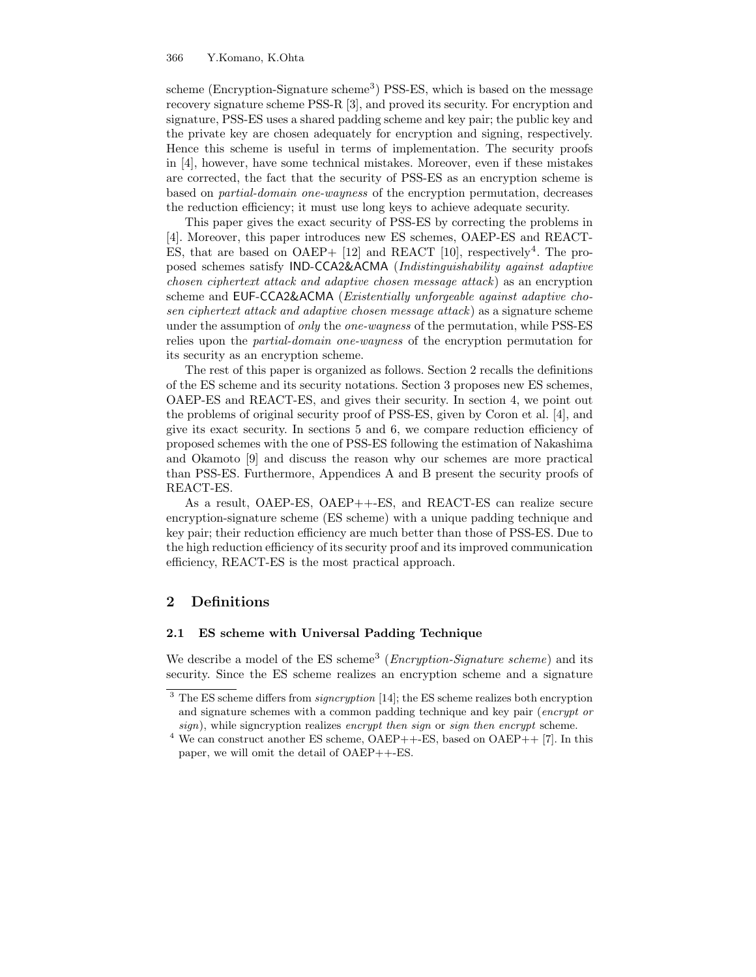#### 366 Y.Komano, K.Ohta

scheme (Encryption-Signature scheme<sup>3</sup>) PSS-ES, which is based on the message recovery signature scheme PSS-R [3], and proved its security. For encryption and signature, PSS-ES uses a shared padding scheme and key pair; the public key and the private key are chosen adequately for encryption and signing, respectively. Hence this scheme is useful in terms of implementation. The security proofs in [4], however, have some technical mistakes. Moreover, even if these mistakes are corrected, the fact that the security of PSS-ES as an encryption scheme is based on partial-domain one-wayness of the encryption permutation, decreases the reduction efficiency; it must use long keys to achieve adequate security.

This paper gives the exact security of PSS-ES by correcting the problems in [4]. Moreover, this paper introduces new ES schemes, OAEP-ES and REACT-ES, that are based on OAEP+  $[12]$  and REACT  $[10]$ , respectively<sup>4</sup>. The proposed schemes satisfy IND-CCA2&ACMA (Indistinguishability against adaptive chosen ciphertext attack and adaptive chosen message attack) as an encryption scheme and EUF-CCA2&ACMA (Existentially unforgeable against adaptive chosen ciphertext attack and adaptive chosen message attack) as a signature scheme under the assumption of *only* the *one-wayness* of the permutation, while PSS-ES relies upon the partial-domain one-wayness of the encryption permutation for its security as an encryption scheme.

The rest of this paper is organized as follows. Section 2 recalls the definitions of the ES scheme and its security notations. Section 3 proposes new ES schemes, OAEP-ES and REACT-ES, and gives their security. In section 4, we point out the problems of original security proof of PSS-ES, given by Coron et al. [4], and give its exact security. In sections 5 and 6, we compare reduction efficiency of proposed schemes with the one of PSS-ES following the estimation of Nakashima and Okamoto [9] and discuss the reason why our schemes are more practical than PSS-ES. Furthermore, Appendices A and B present the security proofs of REACT-ES.

As a result, OAEP-ES, OAEP++-ES, and REACT-ES can realize secure encryption-signature scheme (ES scheme) with a unique padding technique and key pair; their reduction efficiency are much better than those of PSS-ES. Due to the high reduction efficiency of its security proof and its improved communication efficiency, REACT-ES is the most practical approach.

# 2 Definitions

### 2.1 ES scheme with Universal Padding Technique

We describe a model of the ES scheme<sup>3</sup> (*Encryption-Signature scheme*) and its security. Since the ES scheme realizes an encryption scheme and a signature

 $3$  The ES scheme differs from *signcryption* [14]; the ES scheme realizes both encryption and signature schemes with a common padding technique and key pair (encrypt or sign), while signcryption realizes encrypt then sign or sign then encrypt scheme.

 $4$  We can construct another ES scheme, OAEP++-ES, based on OAEP++ [7]. In this paper, we will omit the detail of OAEP++-ES.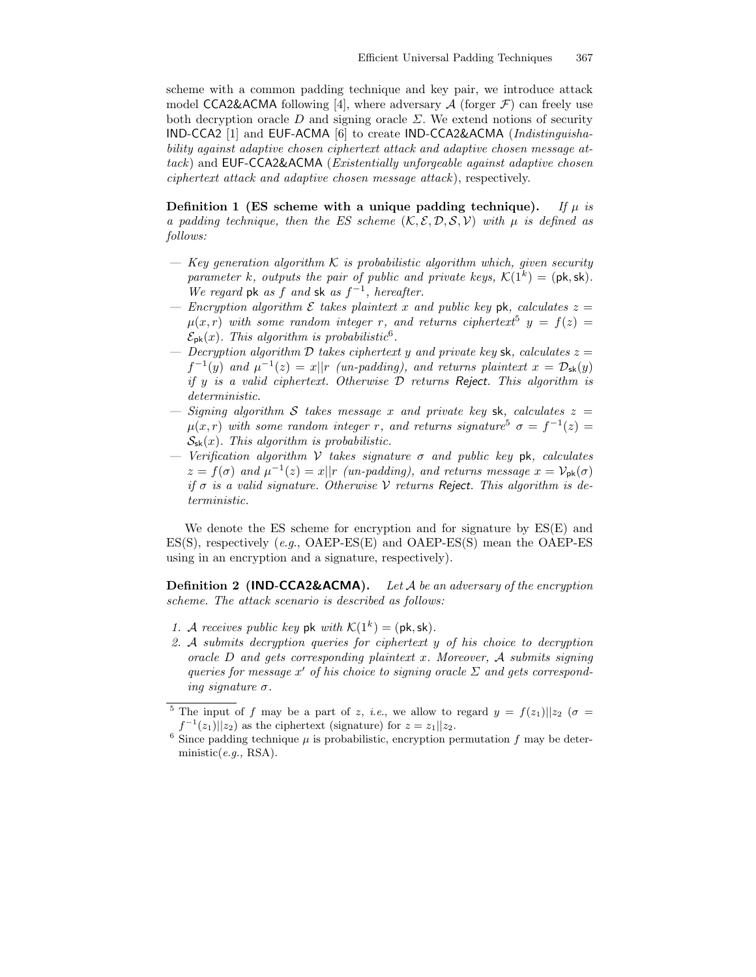scheme with a common padding technique and key pair, we introduce attack model CCA2&ACMA following [4], where adversary  $\mathcal A$  (forger  $\mathcal F$ ) can freely use both decryption oracle D and signing oracle  $\Sigma$ . We extend notions of security IND-CCA2 [1] and EUF-ACMA [6] to create IND-CCA2&ACMA (Indistinguishability against adaptive chosen ciphertext attack and adaptive chosen message attack) and EUF-CCA2&ACMA (*Existentially unforgeable against adaptive chosen* ciphertext attack and adaptive chosen message attack), respectively.

Definition 1 (ES scheme with a unique padding technique). If  $\mu$  is a padding technique, then the ES scheme  $(K, \mathcal{E}, \mathcal{D}, \mathcal{S}, \mathcal{V})$  with  $\mu$  is defined as follows:

- Key generation algorithm  $K$  is probabilistic algorithm which, given security parameter k, outputs the pair of public and private keys,  $\mathcal{K}(1^k) = (\mathsf{pk}, \mathsf{sk})$ . We regard pk as f and sk as  $f^{-1}$ , hereafter.
- Encryption algorithm  $\mathcal E$  takes plaintext x and public key pk, calculates  $z =$  $\mu(x,r)$  with some random integer r, and returns ciphertext<sup>5</sup>  $y = f(z)$  $\mathcal{E}_{\mathsf{pk}}(x)$ . This algorithm is probabilistic<sup>6</sup>.
- $-$  Decryption algorithm  $\mathcal D$  takes ciphertext y and private key sk, calculates  $z =$  $f^{-1}(y)$  and  $\mu^{-1}(z) = x||r$  (un-padding), and returns plaintext  $x = \mathcal{D}_{\mathsf{sk}}(y)$ if y is a valid ciphertext. Otherwise  $D$  returns Reject. This algorithm is deterministic.
- $-$  Signing algorithm S takes message x and private key sk, calculates  $z =$  $\mu(x,r)$  with some random integer r, and returns signature<sup>5</sup>  $\sigma = f^{-1}(z)$  $\mathcal{S}_{\mathsf{sk}}(x)$ . This algorithm is probabilistic.
- Verification algorithm V takes signature σ and public key pk, calculates  $z = f(\sigma)$  and  $\mu^{-1}(z) = x||r$  (un-padding), and returns message  $x = \mathcal{V}_{\mathsf{pk}}(\sigma)$ if  $\sigma$  is a valid signature. Otherwise V returns Reject. This algorithm is deterministic.

We denote the ES scheme for encryption and for signature by ES(E) and  $ES(S)$ , respectively (e.g., OAEP-ES(E) and OAEP-ES(S) mean the OAEP-ES using in an encryption and a signature, respectively).

**Definition 2 (IND-CCA2&ACMA).** Let A be an adversary of the encryption scheme. The attack scenario is described as follows:

- 1. A receives public key pk with  $\mathcal{K}(1^k) = (\mathsf{pk}, \mathsf{sk})$ .
- 2. A submits decryption queries for ciphertext y of his choice to decryption oracle  $D$  and gets corresponding plaintext  $x$ . Moreover,  $A$  submits signing queries for message  $x'$  of his choice to signing oracle  $\Sigma$  and gets corresponding signature  $\sigma$ .

<sup>&</sup>lt;sup>5</sup> The input of f may be a part of z, *i.e.*, we allow to regard  $y = f(z_1) || z_2$  ( $\sigma$  =  $f^{-1}(z_1)||z_2$  as the ciphertext (signature) for  $z = z_1||z_2$ .

 $^6$  Since padding technique  $\mu$  is probabilistic, encryption permutation  $f$  may be deterministic $(e.g., \text{RSA})$ .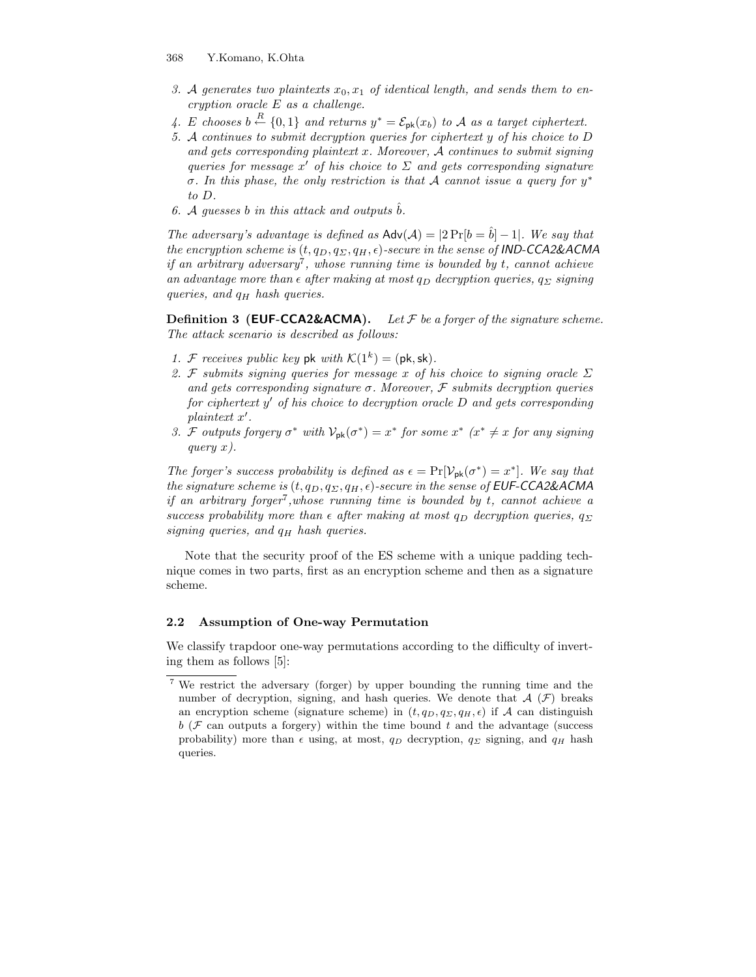#### 368 Y.Komano, K.Ohta

- 3. A generates two plaintexts  $x_0, x_1$  of identical length, and sends them to encryption oracle E as a challenge.
- 4. E chooses  $b \stackrel{R}{\leftarrow} \{0,1\}$  and returns  $y^* = \mathcal{E}_{\mathsf{pk}}(x_b)$  to A as a target ciphertext.
- 5. A continues to submit decryption queries for ciphertext y of his choice to D and gets corresponding plaintext  $x$ . Moreover,  $A$  continues to submit signing queries for message  $x'$  of his choice to  $\Sigma$  and gets corresponding signature  $\sigma$ . In this phase, the only restriction is that A cannot issue a query for  $y^*$ to D.
- 6. A guesses  $b$  in this attack and outputs  $b$ .

The adversary's advantage is defined as  $\mathsf{Adv}(\mathcal{A}) = |2\Pr[b = b] - 1|$ . We say that the encryption scheme is  $(t, q_D, q_\Sigma, q_H, \epsilon)$ -secure in the sense of **IND-CCA2&ACMA** if an arbitrary adversary<sup>7</sup>, whose running time is bounded by  $t$ , cannot achieve an advantage more than  $\epsilon$  after making at most  $q_D$  decryption queries,  $q_{\Sigma}$  signing queries, and  $q_H$  hash queries.

**Definition 3 (EUF-CCA2&ACMA).** Let  $\mathcal F$  be a forger of the signature scheme. The attack scenario is described as follows:

- 1. F receives public key pk with  $\mathcal{K}(1^k) = (\mathsf{pk}, \mathsf{sk})$ .
- 2. F submits signing queries for message x of his choice to signing oracle  $\Sigma$ and gets corresponding signature  $\sigma$ . Moreover, F submits decryption queries for ciphertext  $y'$  of his choice to decryption oracle  $D$  and gets corresponding  $plaintext x'.$
- 3. F outputs forgery  $\sigma^*$  with  $\mathcal{V}_{\mathsf{pk}}(\sigma^*) = x^*$  for some  $x^*$   $(x^* \neq x$  for any signing query  $x$ ).

The forger's success probability is defined as  $\epsilon = \Pr[\mathcal{V}_{pk}(\sigma^*) = x^*]$ . We say that the signature scheme is  $(t, q_D, q_\Sigma, q_H, \epsilon)$ -secure in the sense of EUF-CCA2&ACMA if an arbitrary forger<sup>7</sup>, whose running time is bounded by  $t$ , cannot achieve a success probability more than  $\epsilon$  after making at most  $q_D$  decryption queries,  $q_{\Sigma}$ signing queries, and  $q_H$  hash queries.

Note that the security proof of the ES scheme with a unique padding technique comes in two parts, first as an encryption scheme and then as a signature scheme.

#### 2.2 Assumption of One-way Permutation

We classify trapdoor one-way permutations according to the difficulty of inverting them as follows [5]:

<sup>7</sup> We restrict the adversary (forger) by upper bounding the running time and the number of decryption, signing, and hash queries. We denote that  $A(\mathcal{F})$  breaks an encryption scheme (signature scheme) in  $(t, q_D, q_\Sigma, q_H, \epsilon)$  if A can distinguish  $b \left( \mathcal{F} \right)$  can outputs a forgery) within the time bound t and the advantage (success probability) more than  $\epsilon$  using, at most,  $q_D$  decryption,  $q_\Sigma$  signing, and  $q_H$  hash queries.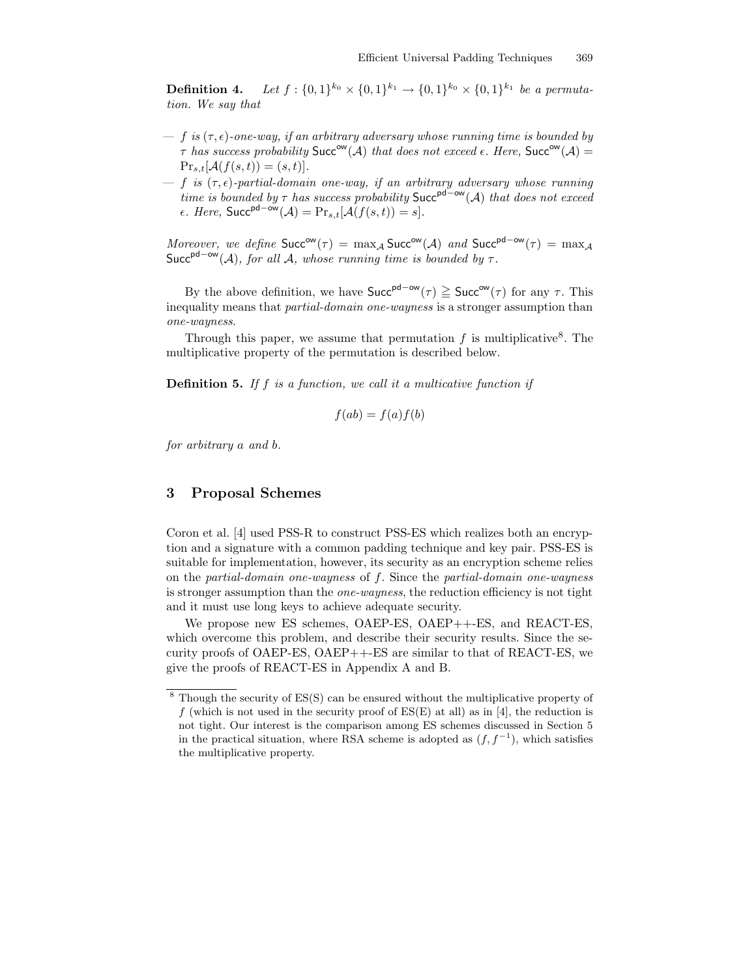Definition 4.  $k_0 \times \{0,1\}^{k_1} \rightarrow \{0,1\}^{k_0} \times \{0,1\}^{k_1}$  be a permutation. We say that

- $f$  is  $(\tau, \epsilon)$ -one-way, if an arbitrary adversary whose running time is bounded by  $\tau$  has success probability Succ<sup>ow</sup> (A) that does not exceed  $\epsilon$ . Here, Succ<sup>ow</sup> (A) =  $Pr_{s,t}[A(f(s,t)) = (s,t)].$
- $f$  is  $(\tau, \epsilon)$ -partial-domain one-way, if an arbitrary adversary whose running time is bounded by  $\tau$  has success probability Succ<sup>pd–ow</sup>(A) that does not exceed  $\epsilon$ . Here, Succ<sup>pd–ow</sup> $(\mathcal{A}) = Pr_{s,t}[\mathcal{A}(f(s,t)) = s].$

Moreover, we define  $Succ^{ow}(\tau) = \max_{\mathcal{A}} Succ^{ow}(\mathcal{A})$  and  $Succ^{pd -ow}(\tau) = \max_{\mathcal{A}}$ Succ<sup>pd–ow</sup>(A), for all A, whose running time is bounded by  $\tau$ .

By the above definition, we have  $\mathsf{Succ}^{\mathsf{pd}-\mathsf{ow}}(\tau) \geq \mathsf{Succ}^{\mathsf{ow}}(\tau)$  for any  $\tau$ . This inequality means that partial-domain one-wayness is a stronger assumption than one-wayness.

Through this paper, we assume that permutation  $f$  is multiplicative<sup>8</sup>. The multiplicative property of the permutation is described below.

Definition 5. If f is a function, we call it a multicative function if

$$
f(ab) = f(a)f(b)
$$

for arbitrary a and b.

# 3 Proposal Schemes

Coron et al. [4] used PSS-R to construct PSS-ES which realizes both an encryption and a signature with a common padding technique and key pair. PSS-ES is suitable for implementation, however, its security as an encryption scheme relies on the partial-domain one-wayness of f. Since the partial-domain one-wayness is stronger assumption than the one-wayness, the reduction efficiency is not tight and it must use long keys to achieve adequate security.

We propose new ES schemes, OAEP-ES, OAEP++-ES, and REACT-ES, which overcome this problem, and describe their security results. Since the security proofs of OAEP-ES,  $OAEP + ESS$  are similar to that of REACT-ES, we give the proofs of REACT-ES in Appendix A and B.

<sup>8</sup> Though the security of ES(S) can be ensured without the multiplicative property of f (which is not used in the security proof of  $ES(E)$  at all) as in [4], the reduction is not tight. Our interest is the comparison among ES schemes discussed in Section 5 in the practical situation, where RSA scheme is adopted as  $(f, f^{-1})$ , which satisfies the multiplicative property.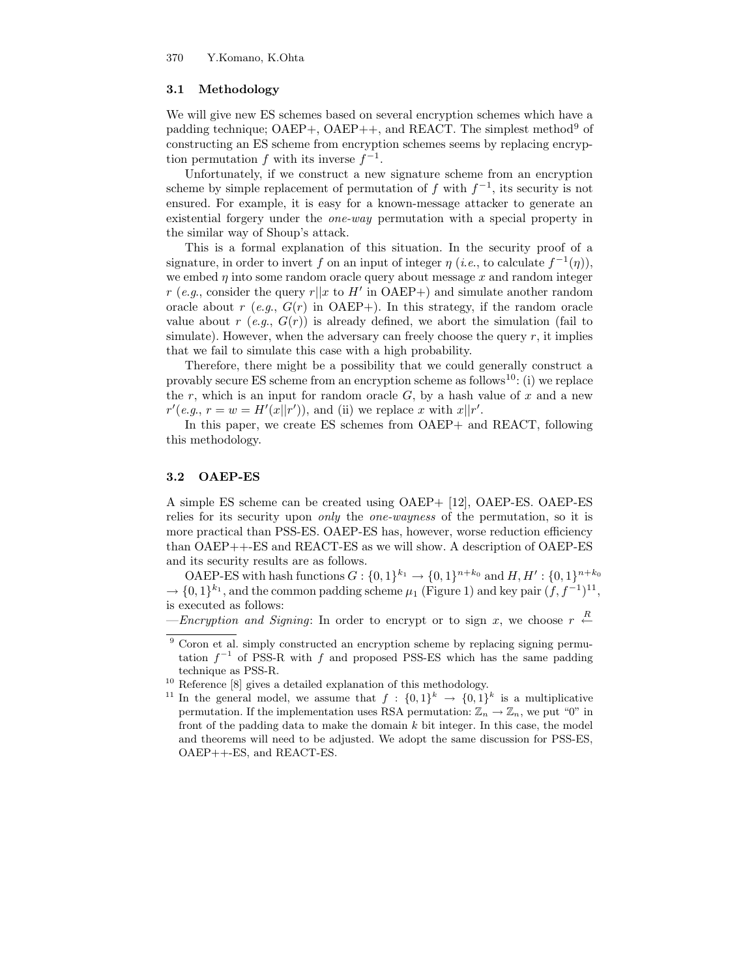#### 3.1 Methodology

We will give new ES schemes based on several encryption schemes which have a padding technique; OAEP+, OAEP++, and REACT. The simplest method<sup>9</sup> of constructing an ES scheme from encryption schemes seems by replacing encryption permutation f with its inverse  $f^{-1}$ .

Unfortunately, if we construct a new signature scheme from an encryption scheme by simple replacement of permutation of f with  $f^{-1}$ , its security is not ensured. For example, it is easy for a known-message attacker to generate an existential forgery under the one-way permutation with a special property in the similar way of Shoup's attack.

This is a formal explanation of this situation. In the security proof of a signature, in order to invert f on an input of integer  $\eta$  (*i.e.*, to calculate  $f^{-1}(\eta)$ ), we embed  $\eta$  into some random oracle query about message  $x$  and random integer  $r$  (e.g., consider the query  $r||x$  to  $H'$  in OAEP+) and simulate another random oracle about r (e.g.,  $G(r)$  in OAEP+). In this strategy, if the random oracle value about r  $(e,q, G(r))$  is already defined, we abort the simulation (fail to simulate). However, when the adversary can freely choose the query  $r$ , it implies that we fail to simulate this case with a high probability.

Therefore, there might be a possibility that we could generally construct a provably secure ES scheme from an encryption scheme as follows<sup>10</sup>: (i) we replace the r, which is an input for random oracle  $G$ , by a hash value of x and a new  $r'(e.g., r = w = H'(x||r'))$ , and (ii) we replace x with  $x||r'$ .

In this paper, we create ES schemes from OAEP+ and REACT, following this methodology.

### 3.2 OAEP-ES

A simple ES scheme can be created using OAEP+ [12], OAEP-ES. OAEP-ES relies for its security upon only the one-wayness of the permutation, so it is more practical than PSS-ES. OAEP-ES has, however, worse reduction efficiency than OAEP++-ES and REACT-ES as we will show. A description of OAEP-ES and its security results are as follows.

OAEP-ES with hash functions  $G: \{0,1\}^{k_1} \rightarrow \{0,1\}^{n+k_0}$  and  $H, H': \{0,1\}^{n+k_0}$  $\to \{0,1\}^{k_1}$ , and the common padding scheme  $\mu_1$  (Figure 1) and key pair  $(f, f^{-1})^{11}$ , is executed as follows:

—Encryption and Signing: In order to encrypt or to sign x, we choose  $r \stackrel{R}{\leftarrow}$ 

<sup>&</sup>lt;sup>9</sup> Coron et al. simply constructed an encryption scheme by replacing signing permutation  $f^{-1}$  of PSS-R with f and proposed PSS-ES which has the same padding technique as PSS-R.

<sup>10</sup> Reference [8] gives a detailed explanation of this methodology.

<sup>&</sup>lt;sup>11</sup> In the general model, we assume that  $f: \{0,1\}^k \to \{0,1\}^k$  is a multiplicative permutation. If the implementation uses RSA permutation:  $\mathbb{Z}_n \to \mathbb{Z}_n$ , we put "0" in front of the padding data to make the domain  $k$  bit integer. In this case, the model and theorems will need to be adjusted. We adopt the same discussion for PSS-ES, OAEP++-ES, and REACT-ES.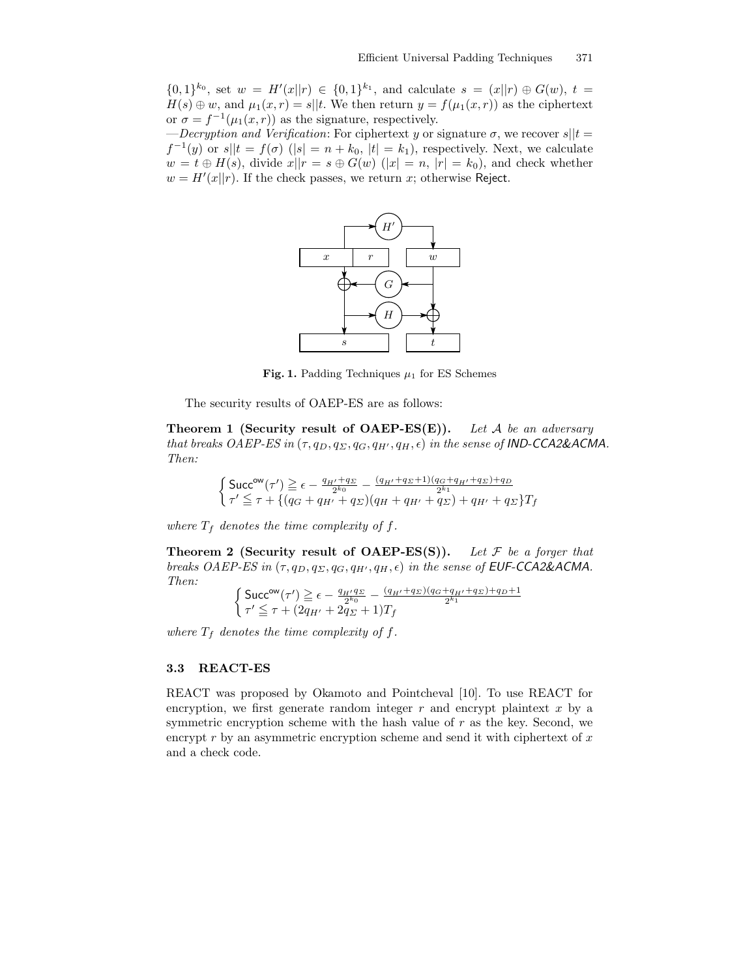${0,1}^{k_0}$ , set  $w = H'(x||r) \in {0,1}^{k_1}$ , and calculate  $s = (x||r) \oplus G(w)$ ,  $t =$  $H(s) \oplus w$ , and  $\mu_1(x,r) = s||t$ . We then return  $y = f(\mu_1(x,r))$  as the ciphertext or  $\sigma = f^{-1}(\mu_1(x,r))$  as the signature, respectively.

—Decryption and Verification: For ciphertext y or signature  $\sigma$ , we recover  $s||t =$  $f^{-1}(y)$  or  $s||t = f(\sigma)$   $(|s| = n + k_0, |t| = k_1)$ , respectively. Next, we calculate  $w = t \oplus H(s)$ , divide  $x||r = s \oplus G(w)$   $(|x| = n, |r| = k_0)$ , and check whether  $w = H'(x||r)$ . If the check passes, we return x; otherwise Reject.



Fig. 1. Padding Techniques  $\mu_1$  for ES Schemes

The security results of OAEP-ES are as follows:

**Theorem 1 (Security result of OAEP-ES(E)).** Let A be an adversary that breaks OAEP-ES in  $(\tau, q_D, q_S, q_H, q_H, \epsilon)$  in the sense of **IND-CCA2&ACMA**. Then:

$$
\begin{cases} \text{Succ}^{\text{ow}}(\tau') \ge \epsilon - \frac{q_{H'} + q_{\Sigma}}{2^{k_0}} - \frac{(q_{H'} + q_{\Sigma} + 1)(q_G + q_{H'} + q_{\Sigma}) + q_D}{2^{k_1}} \\ \tau' \le \tau + \{ (q_G + q_{H'} + q_{\Sigma})(q_H + q_{H'} + q_{\Sigma}) + q_{H'} + q_{\Sigma} \} T_f \end{cases}
$$

where  $T_f$  denotes the time complexity of f.

**Theorem 2 (Security result of OAEP-ES(S)).** Let  $\mathcal F$  be a forger that breaks OAEP-ES in  $(\tau, q_D, q_\Sigma, q_G, q_{H'}, q_H, \epsilon)$  in the sense of EUF-CCA2&ACMA. Then:

$$
\left\{ \begin{matrix} \mathsf{Succ}^{\mathsf{OW}}(\tau') \geq \epsilon - \frac{q_{H'}q_{\varSigma}}{2^{k_0}} - \frac{(q_{H'}+q_{\varSigma})(q_{G}+q_{H'}+q_{\varSigma})+q_{D}+1}{2^{k_1}} \\ \tau' \leq \tau + (2q_{H'}+2q_{\varSigma}+1)T_f \end{matrix} \right.
$$

where  $T_f$  denotes the time complexity of f.

### 3.3 REACT-ES

REACT was proposed by Okamoto and Pointcheval [10]. To use REACT for encryption, we first generate random integer  $r$  and encrypt plaintext  $x$  by a symmetric encryption scheme with the hash value of  $r$  as the key. Second, we encrypt  $r$  by an asymmetric encryption scheme and send it with ciphertext of  $x$ and a check code.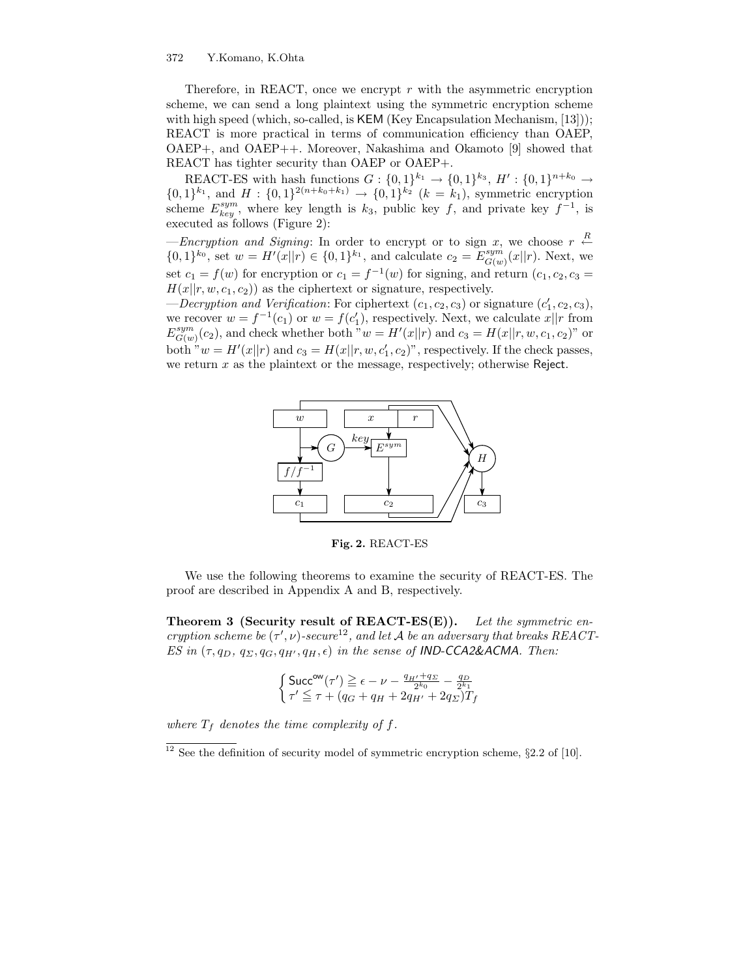#### 372 Y.Komano, K.Ohta

Therefore, in REACT, once we encrypt  $r$  with the asymmetric encryption scheme, we can send a long plaintext using the symmetric encryption scheme with high speed (which, so-called, is KEM (Key Encapsulation Mechanism, [13])); REACT is more practical in terms of communication efficiency than OAEP, OAEP+, and OAEP++. Moreover, Nakashima and Okamoto [9] showed that REACT has tighter security than OAEP or OAEP+.

REACT-ES with hash functions  $G: \{0,1\}^{k_1} \to \{0,1\}^{k_3}, H': \{0,1\}^{n+k_0} \to$  $\{0,1\}^{k_1}$ , and  $H: \{0,1\}^{2(n+k_0+k_1)} \to \{0,1\}^{k_2}$   $(k = k_1)$ , symmetric encryption scheme  $E_{key}^{sym}$ , where key length is  $k_3$ , public key f, and private key  $f^{-1}$ , is executed as follows (Figure 2):

—Encryption and Signing: In order to encrypt or to sign x, we choose  $r \stackrel{R}{\leftarrow}$  $\{0,1\}^{k_0}$ , set  $w = H'(x||r) \in \{0,1\}^{k_1}$ , and calculate  $c_2 = E_{G(w)}^{sym}$  $G(w)(x||r)$ . Next, we set  $c_1 = f(w)$  for encryption or  $c_1 = f^{-1}(w)$  for signing, and return  $(c_1, c_2, c_3 =$  $H(x||r, w, c_1, c_2)$  as the ciphertext or signature, respectively.

 $-$ Decryption and Verification: For ciphertext  $(c_1, c_2, c_3)$  or signature  $(c'_1, c_2, c_3)$ , we recover  $w = f^{-1}(c_1)$  or  $w = f(c'_1)$ , respectively. Next, we calculate  $x||r$  from  $E^{sym}_{G(w)}$  $G(w)(c_2)$ , and check whether both " $w = H'(x||r)$  and  $c_3 = H(x||r, w, c_1, c_2)$ " or both  $"w = H'(x||r)$  and  $c_3 = H(x||r, w, c'_1, c_2)"$ , respectively. If the check passes, we return  $x$  as the plaintext or the message, respectively; otherwise Reject.



Fig. 2. REACT-ES

We use the following theorems to examine the security of REACT-ES. The proof are described in Appendix A and B, respectively.

**Theorem 3 (Security result of REACT-ES(E)).** Let the symmetric encryption scheme be  $(\tau', \nu)$ -secure<sup>12</sup>, and let A be an adversary that breaks REACT-ES in  $(\tau, q_D, q_\Sigma, q_G, q_{H'}, q_H, \epsilon)$  in the sense of IND-CCA2&ACMA. Then:

$$
\begin{cases} \text{Succ}^{\text{ow}}(\tau') \geq \epsilon - \nu - \frac{q_{H'} + q_{\Sigma}}{2^{k_0}} - \frac{q_D}{2^{k_1}} \\ \tau' \leq \tau + (q_G + q_H + 2q_{H'} + 2q_{\Sigma})T_f \end{cases}
$$

where  $T_f$  denotes the time complexity of f.

 $12$  See the definition of security model of symmetric encryption scheme,  $\S 2.2$  of [10].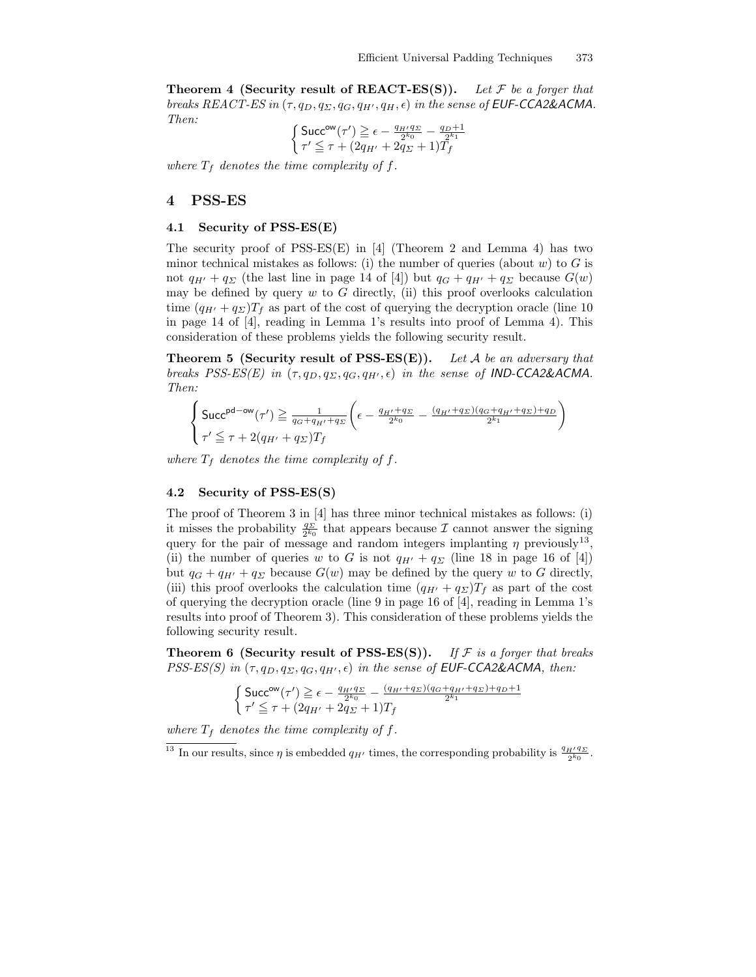**Theorem 4 (Security result of REACT-ES(S)).** Let  $\mathcal F$  be a forger that breaks REACT-ES in  $(\tau, q_D, q_\Sigma, q_G, q_{H'}, q_H, \epsilon)$  in the sense of EUF-CCA2&ACMA. Then:

$$
\left\{ \begin{matrix} \mathsf{Succ}^{\mathsf{ow}}(\tau') \geqq \epsilon - \frac{q_{H'}q_{\varSigma}}{2^{k_0}} - \frac{q_{D}+1}{2^{k_1}} \\ \tau' \leqq \tau + (2q_{H'}+2q_{\varSigma}+1)T_f \end{matrix} \right.
$$

where  $T_f$  denotes the time complexity of f.

### 4 PSS-ES

### 4.1 Security of PSS-ES(E)

The security proof of  $PSS-ES(E)$  in [4] (Theorem 2 and Lemma 4) has two minor technical mistakes as follows: (i) the number of queries (about  $w$ ) to  $G$  is not  $q_{H'} + q_{\Sigma}$  (the last line in page 14 of [4]) but  $q_G + q_{H'} + q_{\Sigma}$  because  $G(w)$ may be defined by query  $w$  to  $G$  directly, (ii) this proof overlooks calculation time  $(q_{H'} + q_{\Sigma})T_f$  as part of the cost of querying the decryption oracle (line 10) in page 14 of [4], reading in Lemma 1's results into proof of Lemma 4). This consideration of these problems yields the following security result.

**Theorem 5 (Security result of PSS-ES(E)).** Let  $A$  be an adversary that breaks PSS-ES(E) in  $(\tau, q_D, q_\Sigma, q_G, q_{H'}, \epsilon)$  in the sense of IND-CCA2&ACMA. Then:

$$
\begin{cases} \text{Succ}^{\text{pd-ow}}(\tau') \ge \frac{1}{q_G + q_{H'} + q_{\Sigma}} \left( \epsilon - \frac{q_{H'} + q_{\Sigma}}{2^{k_0}} - \frac{(q_{H'} + q_{\Sigma})(q_G + q_{H'} + q_{\Sigma}) + q_D}{2^{k_1}} \right) \\ \tau' \le \tau + 2(q_{H'} + q_{\Sigma}) T_f \end{cases}
$$

where  $T_f$  denotes the time complexity of f.

### 4.2 Security of PSS-ES(S)

The proof of Theorem 3 in [4] has three minor technical mistakes as follows: (i) it misses the probability  $\frac{q_{\Sigma}}{2k_{0}}$  $\frac{q_{\Sigma}}{2^{k_0}}$  that appears because  $\mathcal I$  cannot answer the signing query for the pair of message and random integers implanting  $\eta$  previously<sup>13</sup>, (ii) the number of queries w to G is not  $q_{H'} + q_{\Sigma}$  (line 18 in page 16 of [4]) but  $q_G + q_{H'} + q_{\Sigma}$  because  $G(w)$  may be defined by the query w to G directly, (iii) this proof overlooks the calculation time  $(q_{H'} + q_{\Sigma})T_f$  as part of the cost of querying the decryption oracle (line 9 in page 16 of [4], reading in Lemma 1's results into proof of Theorem 3). This consideration of these problems yields the following security result.

**Theorem 6 (Security result of PSS-ES(S)).** If F is a forger that breaks PSS-ES(S) in  $(\tau, q_D, q_{\Sigma}, q_G, q_{H'}, \epsilon)$  in the sense of EUF-CCA2&ACMA, then:

$$
\left\{\begin{matrix} \mathsf{Succ}^{\mathsf{ow}}(\tau') \geqq \epsilon - \frac{q_{H'}q_{\varSigma}}{2^{k_0}} - \frac{(q_{H'}+q_{\varSigma})(q_{G}+q_{H'}+q_{\varSigma})+q_{D}+1}{2^{k_1}} \\ \tau' \leqq \tau + (2q_{H'}+2q_{\varSigma}+1)T_f \end{matrix}\right.
$$

where  $T_f$  denotes the time complexity of f.

<sup>&</sup>lt;sup>13</sup> In our results, since  $\eta$  is embedded  $q_{H'}$  times, the corresponding probability is  $\frac{q_{H'}q_{\Sigma}}{2^{k_0}}$ .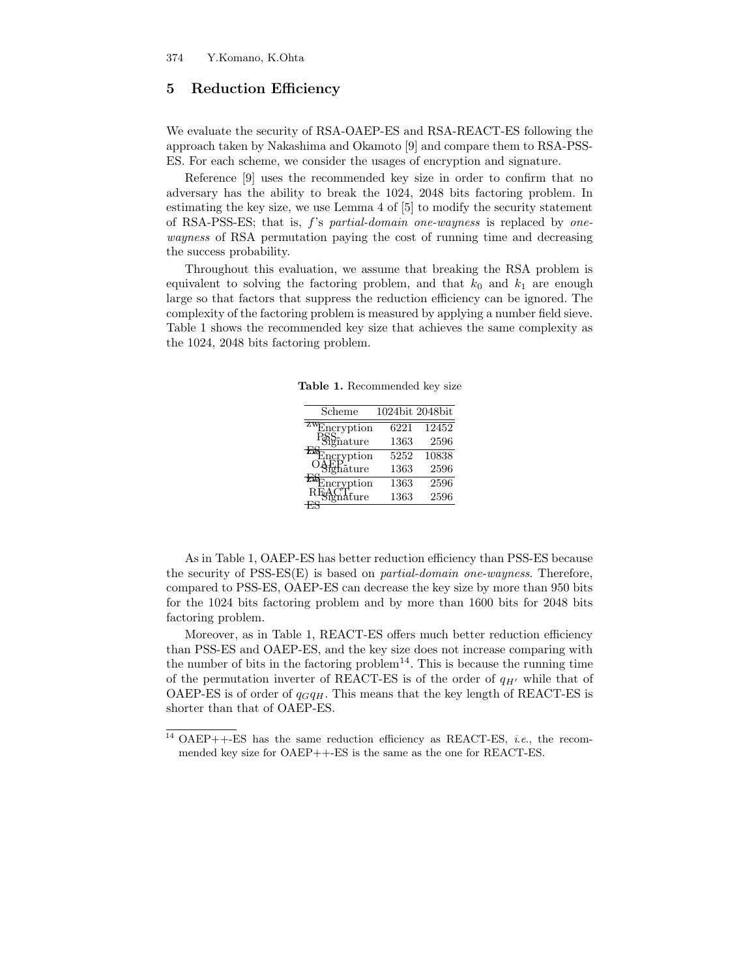### 5 Reduction Efficiency

We evaluate the security of RSA-OAEP-ES and RSA-REACT-ES following the approach taken by Nakashima and Okamoto [9] and compare them to RSA-PSS-ES. For each scheme, we consider the usages of encryption and signature.

Reference [9] uses the recommended key size in order to confirm that no adversary has the ability to break the 1024, 2048 bits factoring problem. In estimating the key size, we use Lemma 4 of [5] to modify the security statement of RSA-PSS-ES; that is, f's partial-domain one-wayness is replaced by onewayness of RSA permutation paying the cost of running time and decreasing the success probability.

Throughout this evaluation, we assume that breaking the RSA problem is equivalent to solving the factoring problem, and that  $k_0$  and  $k_1$  are enough large so that factors that suppress the reduction efficiency can be ignored. The complexity of the factoring problem is measured by applying a number field sieve. Table 1 shows the recommended key size that achieves the same complexity as the 1024, 2048 bits factoring problem.

Table 1. Recommended key size

| Scheme                                                                               |      | 1024bit 2048bit |
|--------------------------------------------------------------------------------------|------|-----------------|
| <sup>zw</sup> Encryption                                                             | 6221 | 12452           |
| $P_{\rm S12 nature}$                                                                 | 1363 | 2596            |
| Encryption                                                                           | 5252 | 10838           |
| OAErature                                                                            | 1363 | 2596            |
| Encryption                                                                           | 1363 | 2596            |
| $\mathrm{R}\overleftrightarrow{\mathrm{F}_{\mathrm{light}}}\mathrm{AT}_{\mathrm{H}}$ | 1363 | 2596            |
|                                                                                      |      |                 |

As in Table 1, OAEP-ES has better reduction efficiency than PSS-ES because the security of  $PSS-ES(E)$  is based on *partial-domain one-wayness*. Therefore, compared to PSS-ES, OAEP-ES can decrease the key size by more than 950 bits for the 1024 bits factoring problem and by more than 1600 bits for 2048 bits factoring problem.

Moreover, as in Table 1, REACT-ES offers much better reduction efficiency than PSS-ES and OAEP-ES, and the key size does not increase comparing with the number of bits in the factoring problem<sup>14</sup>. This is because the running time of the permutation inverter of REACT-ES is of the order of  $q_{H'}$  while that of OAEP-ES is of order of  $q_Gq_H$ . This means that the key length of REACT-ES is shorter than that of OAEP-ES.

 $14$  OAEP++-ES has the same reduction efficiency as REACT-ES, *i.e.*, the recommended key size for OAEP++-ES is the same as the one for REACT-ES.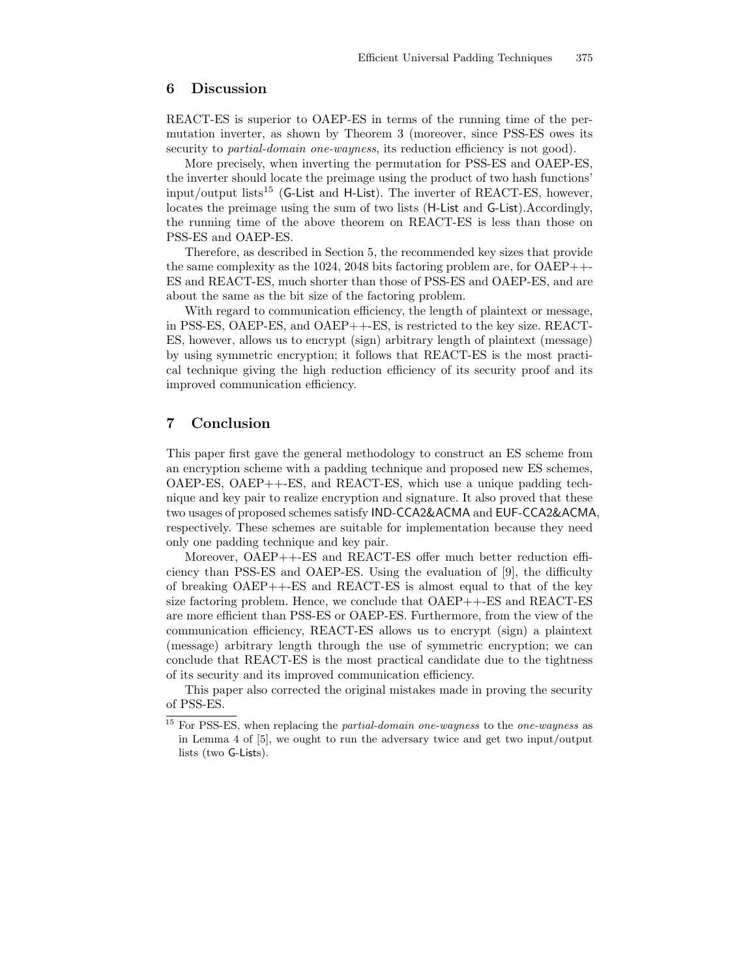### 6 Discussion

REACT-ES is superior to OAEP-ES in terms of the running time of the permutation inverter, as shown by Theorem 3 (moreover, since PSS-ES owes its security to *partial-domain one-wayness*, its reduction efficiency is not good).

More precisely, when inverting the permutation for PSS-ES and OAEP-ES, the inverter should locate the preimage using the product of two hash functions'  $\text{input/output lists}^{15}$  (G-List and H-List). The inverter of REACT-ES, however, locates the preimage using the sum of two lists (H-List and G-List).Accordingly, the running time of the above theorem on REACT-ES is less than those on PSS-ES and OAEP-ES.

Therefore, as described in Section 5, the recommended key sizes that provide the same complexity as the 1024, 2048 bits factoring problem are, for OAEP++- ES and REACT-ES, much shorter than those of PSS-ES and OAEP-ES, and are about the same as the bit size of the factoring problem.

With regard to communication efficiency, the length of plaintext or message, in PSS-ES, OAEP-ES, and OAEP++-ES, is restricted to the key size. REACT-ES, however, allows us to encrypt (sign) arbitrary length of plaintext (message) by using symmetric encryption; it follows that REACT-ES is the most practical technique giving the high reduction efficiency of its security proof and its improved communication efficiency.

## 7 Conclusion

This paper first gave the general methodology to construct an ES scheme from an encryption scheme with a padding technique and proposed new ES schemes, OAEP-ES, OAEP++-ES, and REACT-ES, which use a unique padding technique and key pair to realize encryption and signature. It also proved that these two usages of proposed schemes satisfy IND-CCA2&ACMA and EUF-CCA2&ACMA, respectively. These schemes are suitable for implementation because they need only one padding technique and key pair.

Moreover, OAEP++-ES and REACT-ES offer much better reduction efficiency than PSS-ES and OAEP-ES. Using the evaluation of [9], the difficulty of breaking OAEP++-ES and REACT-ES is almost equal to that of the key size factoring problem. Hence, we conclude that OAEP++-ES and REACT-ES are more efficient than PSS-ES or OAEP-ES. Furthermore, from the view of the communication efficiency, REACT-ES allows us to encrypt (sign) a plaintext (message) arbitrary length through the use of symmetric encryption; we can conclude that REACT-ES is the most practical candidate due to the tightness of its security and its improved communication efficiency.

This paper also corrected the original mistakes made in proving the security of PSS-ES.

 $15$  For PSS-ES, when replacing the *partial-domain one-wayness* to the *one-wayness* as in Lemma 4 of [5], we ought to run the adversary twice and get two input/output lists (two G-Lists).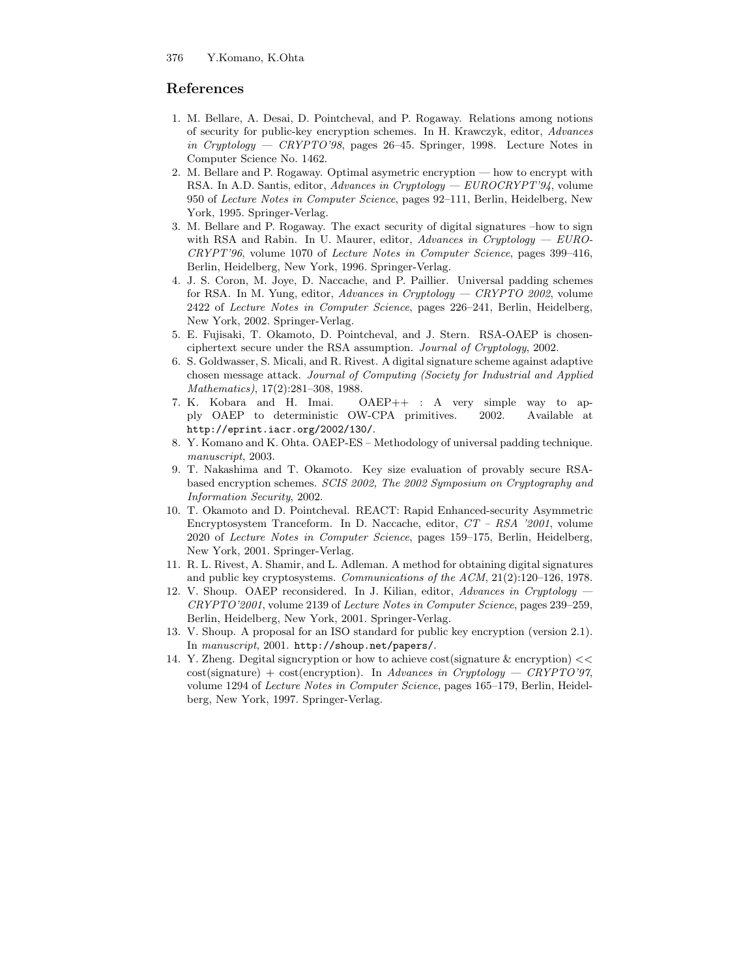# References

- 1. M. Bellare, A. Desai, D. Pointcheval, and P. Rogaway. Relations among notions of security for public-key encryption schemes. In H. Krawczyk, editor, Advances in Cryptology — CRYPTO'98, pages  $26-45$ . Springer, 1998. Lecture Notes in Computer Science No. 1462.
- 2. M. Bellare and P. Rogaway. Optimal asymetric encryption how to encrypt with RSA. In A.D. Santis, editor, Advances in Cryptology — EUROCRYPT'94, volume 950 of Lecture Notes in Computer Science, pages 92–111, Berlin, Heidelberg, New York, 1995. Springer-Verlag.
- 3. M. Bellare and P. Rogaway. The exact security of digital signatures –how to sign with RSA and Rabin. In U. Maurer, editor, Advances in Cryptology  $-EURO$ CRYPT'96, volume 1070 of Lecture Notes in Computer Science, pages 399–416, Berlin, Heidelberg, New York, 1996. Springer-Verlag.
- 4. J. S. Coron, M. Joye, D. Naccache, and P. Paillier. Universal padding schemes for RSA. In M. Yung, editor, Advances in Cryptology — CRYPTO 2002, volume 2422 of Lecture Notes in Computer Science, pages 226–241, Berlin, Heidelberg, New York, 2002. Springer-Verlag.
- 5. E. Fujisaki, T. Okamoto, D. Pointcheval, and J. Stern. RSA-OAEP is chosenciphertext secure under the RSA assumption. Journal of Cryptology, 2002.
- 6. S. Goldwasser, S. Micali, and R. Rivest. A digital signature scheme against adaptive chosen message attack. Journal of Computing (Society for Industrial and Applied Mathematics), 17(2):281–308, 1988.
- 7. K. Kobara and H. Imai. OAEP++ : A very simple way to apply OAEP to deterministic OW-CPA primitives. 2002. Available at http://eprint.iacr.org/2002/130/.
- 8. Y. Komano and K. Ohta. OAEP-ES Methodology of universal padding technique. manuscript, 2003.
- 9. T. Nakashima and T. Okamoto. Key size evaluation of provably secure RSAbased encryption schemes. SCIS 2002, The 2002 Symposium on Cryptography and Information Security, 2002.
- 10. T. Okamoto and D. Pointcheval. REACT: Rapid Enhanced-security Asymmetric Encryptosystem Tranceform. In D. Naccache, editor,  $CT - RSA$  '2001, volume 2020 of Lecture Notes in Computer Science, pages 159–175, Berlin, Heidelberg, New York, 2001. Springer-Verlag.
- 11. R. L. Rivest, A. Shamir, and L. Adleman. A method for obtaining digital signatures and public key cryptosystems. Communications of the ACM, 21(2):120–126, 1978.
- 12. V. Shoup. OAEP reconsidered. In J. Kilian, editor, Advances in Cryptology -CRYPTO'2001, volume 2139 of Lecture Notes in Computer Science, pages 239–259, Berlin, Heidelberg, New York, 2001. Springer-Verlag.
- 13. V. Shoup. A proposal for an ISO standard for public key encryption (version 2.1). In manuscript, 2001. http://shoup.net/papers/.
- 14. Y. Zheng. Degital signcryption or how to achieve cost(signature  $\&$  encryption)  $<<$  $cost(signature) + cost(encryption)$ . In Advances in Cryptology — CRYPTO'97, volume 1294 of Lecture Notes in Computer Science, pages 165–179, Berlin, Heidelberg, New York, 1997. Springer-Verlag.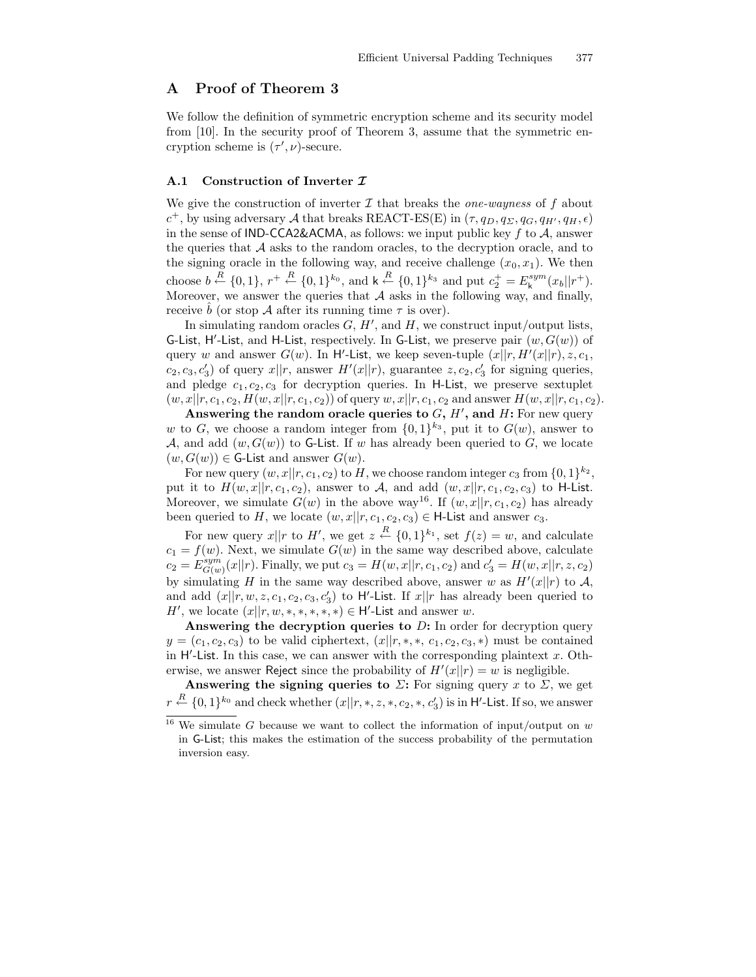# A Proof of Theorem 3

We follow the definition of symmetric encryption scheme and its security model from [10]. In the security proof of Theorem 3, assume that the symmetric encryption scheme is  $(\tau', \nu)$ -secure.

#### A.1 Construction of Inverter  $\mathcal I$

We give the construction of inverter  $\mathcal I$  that breaks the *one-wayness* of  $f$  about  $c^+$ , by using adversary A that breaks REACT-ES(E) in  $(\tau, q_D, q_\Sigma, q_G, q_{H'}, q_H, \epsilon)$ in the sense of **IND-CCA2&ACMA**, as follows: we input public key f to A, answer the queries that  $A$  asks to the random oracles, to the decryption oracle, and to the signing oracle in the following way, and receive challenge  $(x_0, x_1)$ . We then choose  $b \stackrel{R}{\leftarrow} \{0,1\}$ ,  $r^+ \stackrel{R}{\leftarrow} \{0,1\}^{k_0}$ , and  $k \stackrel{R}{\leftarrow} \{0,1\}^{k_3}$  and put  $c_2^+ = E_k^{sym}(x_b||r^+)$ . Moreover, we answer the queries that  $A$  asks in the following way, and finally, receive  $\hat{b}$  (or stop A after its running time  $\tau$  is over).

In simulating random oracles  $G, H'$ , and  $H$ , we construct input/output lists, G-List, H'-List, and H-List, respectively. In G-List, we preserve pair  $(w, G(w))$  of query w and answer  $G(w)$ . In H'-List, we keep seven-tuple  $(x||r, H'(x||r), z, c_1,$  $c_2, c_3, c'_3$  of query  $x||r$ , answer  $H'(x||r)$ , guarantee  $z, c_2, c'_3$  for signing queries, and pledge  $c_1, c_2, c_3$  for decryption queries. In H-List, we preserve sextuplet  $(w, x||r, c_1, c_2, H(w, x||r, c_1, c_2))$  of query  $w, x||r, c_1, c_2$  and answer  $H(w, x||r, c_1, c_2)$ .

Answering the random oracle queries to  $G, H'$ , and  $H$ : For new query w to G, we choose a random integer from  $\{0,1\}^{k_3}$ , put it to  $G(w)$ , answer to A, and add  $(w, G(w))$  to G-List. If w has already been queried to G, we locate  $(w, G(w)) \in G$ -List and answer  $G(w)$ .

For new query  $(w, x || r, c_1, c_2)$  to  $H$ , we choose random integer  $c_3$  from  $\{0, 1\}^{k_2}$ , put it to  $H(w, x||r, c_1, c_2)$ , answer to A, and add  $(w, x||r, c_1, c_2, c_3)$  to H-List. Moreover, we simulate  $G(w)$  in the above way<sup>16</sup>. If  $(w, x||r, c_1, c_2)$  has already been queried to H, we locate  $(w, x||r, c_1, c_2, c_3) \in H$ -List and answer  $c_3$ .

For new query  $x||r$  to  $H'$ , we get  $z \stackrel{R}{\leftarrow} \{0,1\}^{k_1}$ , set  $f(z) = w$ , and calculate  $c_1 = f(w)$ . Next, we simulate  $G(w)$  in the same way described above, calculate  $c_2 = E_{G(w)}^{sym}$  $\int_{G(w)}^{sym}(x||r)$ . Finally, we put  $c_3 = H(w, x||r, c_1, c_2)$  and  $c'_3 = H(w, x||r, z, c_2)$ by simulating H in the same way described above, answer w as  $H'(x||r)$  to A, and add  $(x||r, w, z, c_1, c_2, c_3, c'_3)$  to H'-List. If  $x||r$  has already been queried to H', we locate  $(x||r, w, *, *, *, *) \in H'-List$  and answer w.

Answering the decryption queries to  $D$ : In order for decryption query  $y = (c_1, c_2, c_3)$  to be valid ciphertext,  $(x||r, *, *, c_1, c_2, c_3, *)$  must be contained in  $H'$ -List. In this case, we can answer with the corresponding plaintext  $x$ . Otherwise, we answer Reject since the probability of  $H'(x||r) = w$  is negligible.

Answering the signing queries to  $\Sigma$ : For signing query x to  $\Sigma$ , we get  $r \stackrel{R}{\leftarrow} \{0,1\}^{k_0}$  and check whether  $(x||r, *, z, *, c_2, *, c'_3)$  is in H'-List. If so, we answer

<sup>&</sup>lt;sup>16</sup> We simulate G because we want to collect the information of input/output on  $w$ in G-List; this makes the estimation of the success probability of the permutation inversion easy.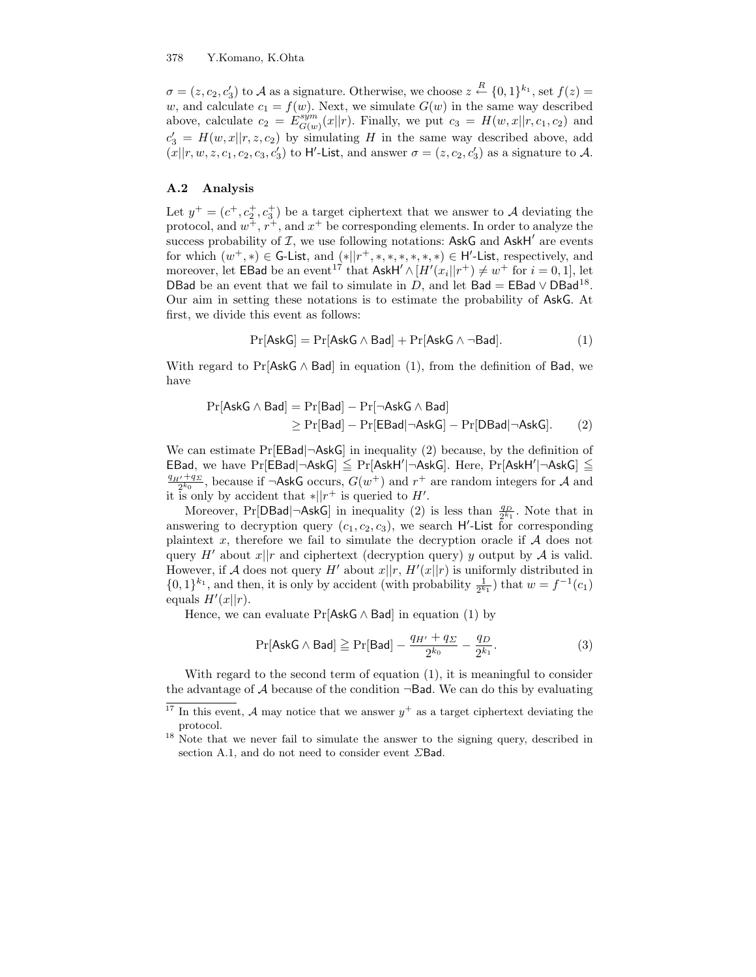$\sigma = (z, c_2, c'_3)$  to A as a signature. Otherwise, we choose  $z \stackrel{R}{\leftarrow} \{0, 1\}^{k_1}$ , set  $f(z) =$ w, and calculate  $c_1 = f(w)$ . Next, we simulate  $G(w)$  in the same way described above, calculate  $c_2 = E_{G(w)}^{sym}$  $G(w)(x||r)$ . Finally, we put  $c_3 = H(w, x||r, c_1, c_2)$  and  $c'_3 = H(w, x || r, z, c_2)$  by simulating H in the same way described above, add  $(x||r, w, z, c_1, c_2, c_3, c'_3)$  to H'-List, and answer  $\sigma = (z, c_2, c'_3)$  as a signature to A.

### A.2 Analysis

Let  $y^+ = (c^+, c_2^+, c_3^+)$  be a target ciphertext that we answer to A deviating the protocol, and  $w^+$ ,  $r^+$ , and  $x^+$  be corresponding elements. In order to analyze the success probability of  $I$ , we use following notations: AskG and AskH' are events for which  $(w^+,*) \in G$ -List, and  $(*||r^+,*,*,*,*,*,*) \in H'$ -List, respectively, and moreover, let EBad be an event<sup>17</sup> that  $\mathsf{AskH}' \wedge [H'(x_i || r^+) \neq w^+$  for  $i = 0, 1]$ , let DBad be an event that we fail to simulate in D, and let  $Bad = EBad \vee DBad^{18}$ . Our aim in setting these notations is to estimate the probability of AskG. At first, we divide this event as follows:

$$
Pr[AskG] = Pr[AskG \wedge Bad] + Pr[AskG \wedge \neg Bad]. \qquad (1)
$$

With regard to Pr[AskG  $\land$  Bad] in equation (1), from the definition of Bad, we have

$$
Pr[AskG \wedge Bad] = Pr[Bad] - Pr[\neg AskG \wedge Bad]
$$
  
\n
$$
\geq Pr[Bad] - Pr[Bad|\neg AskG] - Pr[DBad|\neg AskG].
$$
 (2)

We can estimate  $Pr[EBad] \rightarrow AskG]$  in inequality (2) because, by the definition of EBad, we have  $Pr[EBad] \rightarrow AskG] \leq Pr[AskH'] \rightarrow AskG]$ . Here,  $Pr[AskH'] \rightarrow AskG] \leq$ <br> $\frac{q_{H'}+q_{\Sigma}}{q_{\Sigma}}$  because if  $\rightarrow$  AskC escure  $C(\omega^{+})$  and  $\pi^{+}$  are random integers for A and  $\frac{C}{2^{k_0}}$ , because if  $\neg$ AskG occurs,  $G(w^+)$  and  $r^+$  are random integers for A and it is only by accident that  $*||r^+$  is queried to  $H'$ .

Moreover, Pr[DBad|¬AskG] in inequality (2) is less than  $\frac{q_D}{2^{k_1}}$ . Note that in answering to decryption query  $(c_1, c_2, c_3)$ , we search H'-List for corresponding plaintext x, therefore we fail to simulate the decryption oracle if  $A$  does not query H' about  $x||r$  and ciphertext (decryption query) y output by A is valid. However, if A does not query H' about  $x||r$ ,  $H'(x||r)$  is uniformly distributed in  $\{0,1\}^{k_1}$ , and then, it is only by accident (with probability  $\frac{1}{2^{k_1}}$ ) that  $w = f^{-1}(c_1)$ equals  $H'(x||r)$ .

Hence, we can evaluate  $Pr[AskG \wedge Bad]$  in equation (1) by

$$
\Pr[\mathsf{AskG} \land \mathsf{Bad}] \ge \Pr[\mathsf{Bad}] - \frac{q_{H'} + q_{\Sigma}}{2^{k_0}} - \frac{q_D}{2^{k_1}}.\tag{3}
$$

With regard to the second term of equation (1), it is meaningful to consider the advantage of  $A$  because of the condition  $\neg$ Bad. We can do this by evaluating

<sup>&</sup>lt;sup>17</sup> In this event, A may notice that we answer  $y^+$  as a target ciphertext deviating the protocol.

<sup>&</sup>lt;sup>18</sup> Note that we never fail to simulate the answer to the signing query, described in section A.1, and do not need to consider event ΣBad.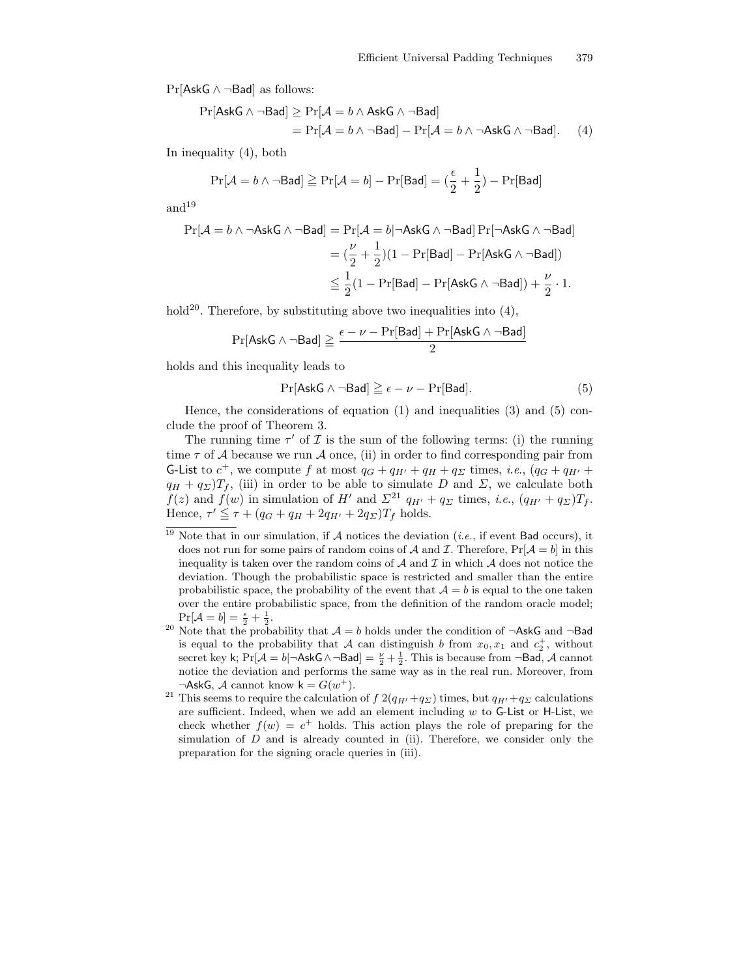Pr[AskG ∧ ¬Bad] as follows:

$$
\Pr[\text{AskG} \land \neg \text{Bad}] \ge \Pr[\mathcal{A} = b \land \text{AskG} \land \neg \text{Bad}]
$$

$$
= \Pr[\mathcal{A} = b \land \neg \text{Bad}] - \Pr[\mathcal{A} = b \land \neg \text{AskG} \land \neg \text{Bad}]. \tag{4}
$$

In inequality (4), both

$$
\Pr[\mathcal{A} = b \land \neg \mathsf{Bad}] \geq \Pr[\mathcal{A} = b] - \Pr[\mathsf{Bad}] = (\frac{\epsilon}{2} + \frac{1}{2}) - \Pr[\mathsf{Bad}]
$$

and $19$ 

$$
\begin{aligned} \Pr[\mathcal{A} = b \wedge \neg \mathsf{AskG} \wedge \neg \mathsf{Bad}] &= \Pr[\mathcal{A} = b | \neg \mathsf{AskG} \wedge \neg \mathsf{Bad}] \Pr[\neg \mathsf{AskG} \wedge \neg \mathsf{Bad}] \\ &= (\frac{\nu}{2} + \frac{1}{2})(1 - \Pr[\mathsf{Bad}] - \Pr[\mathsf{AskG} \wedge \neg \mathsf{Bad}]) \\ &\leq \frac{1}{2}(1 - \Pr[\mathsf{Bad}] - \Pr[\mathsf{AskG} \wedge \neg \mathsf{Bad}]) + \frac{\nu}{2} \cdot 1. \end{aligned}
$$

hold<sup>20</sup>. Therefore, by substituting above two inequalities into  $(4)$ ,

$$
\Pr[\mathsf{AskG} \wedge \neg \mathsf{Bad}] \geq \frac{\epsilon - \nu - \Pr[\mathsf{Bad}] + \Pr[\mathsf{AskG} \wedge \neg \mathsf{Bad}]}{2}
$$

holds and this inequality leads to

$$
\Pr[\mathsf{AskG} \land \neg \mathsf{Bad}] \geq \epsilon - \nu - \Pr[\mathsf{Bad}].\tag{5}
$$

Hence, the considerations of equation  $(1)$  and inequalities  $(3)$  and  $(5)$  conclude the proof of Theorem 3.

The running time  $\tau'$  of  $\mathcal I$  is the sum of the following terms: (i) the running time  $\tau$  of A because we run A once, (ii) in order to find corresponding pair from G-List to  $c^+$ , we compute f at most  $q_G + q_{H'} + q_H + q_{\Sigma}$  times, *i.e.*,  $(q_G + q_{H'} + q_{\Sigma})$  $q_H + q_\Sigma T_f$ , (iii) in order to be able to simulate D and  $\Sigma$ , we calculate both  $f(z)$  and  $f(w)$  in simulation of H' and  $\Sigma^{21}$   $q_{H'} + q_{\Sigma}$  times, i.e.,  $(q_{H'} + q_{\Sigma})T_f$ . Hence,  $\tau' \leq \tau + (q_G + q_H + 2q_{H'} + 2q_{\Sigma})T_f$  holds.

<sup>&</sup>lt;sup>19</sup> Note that in our simulation, if  $A$  notices the deviation (*i.e.*, if event Bad occurs), it does not run for some pairs of random coins of A and I. Therefore,  $Pr[\mathcal{A} = b]$  in this inequality is taken over the random coins of  $A$  and  $I$  in which  $A$  does not notice the deviation. Though the probabilistic space is restricted and smaller than the entire probabilistic space, the probability of the event that  $A = b$  is equal to the one taken over the entire probabilistic space, from the definition of the random oracle model;  $Pr[\mathcal{A} = b] = \frac{\epsilon}{2} + \frac{1}{2}.$ 

<sup>&</sup>lt;sup>20</sup> Note that the probability that  $A = b$  holds under the condition of  $\neg$ AskG and  $\neg$ Bad is equal to the probability that A can distinguish b from  $x_0, x_1$  and  $c_2^+$ , without secret key k; Pr[ $\mathcal{A} = b|\neg \mathsf{AskG} \wedge \neg \mathsf{Bad}] = \frac{\nu}{2} + \frac{1}{2}$ . This is because from  $\neg \mathsf{Bad}, \mathcal{A}$  cannot notice the deviation and performs the same way as in the real run. Moreover, from  $\neg$ AskG, A cannot know  $k = G(w^+)$ .

<sup>&</sup>lt;sup>21</sup> This seems to require the calculation of  $f$  2( $q_{H'}+q_{\Sigma}$ ) times, but  $q_{H'}+q_{\Sigma}$  calculations are sufficient. Indeed, when we add an element including  $w$  to G-List or H-List, we check whether  $f(w) = c^+$  holds. This action plays the role of preparing for the simulation of  $D$  and is already counted in (ii). Therefore, we consider only the preparation for the signing oracle queries in (iii).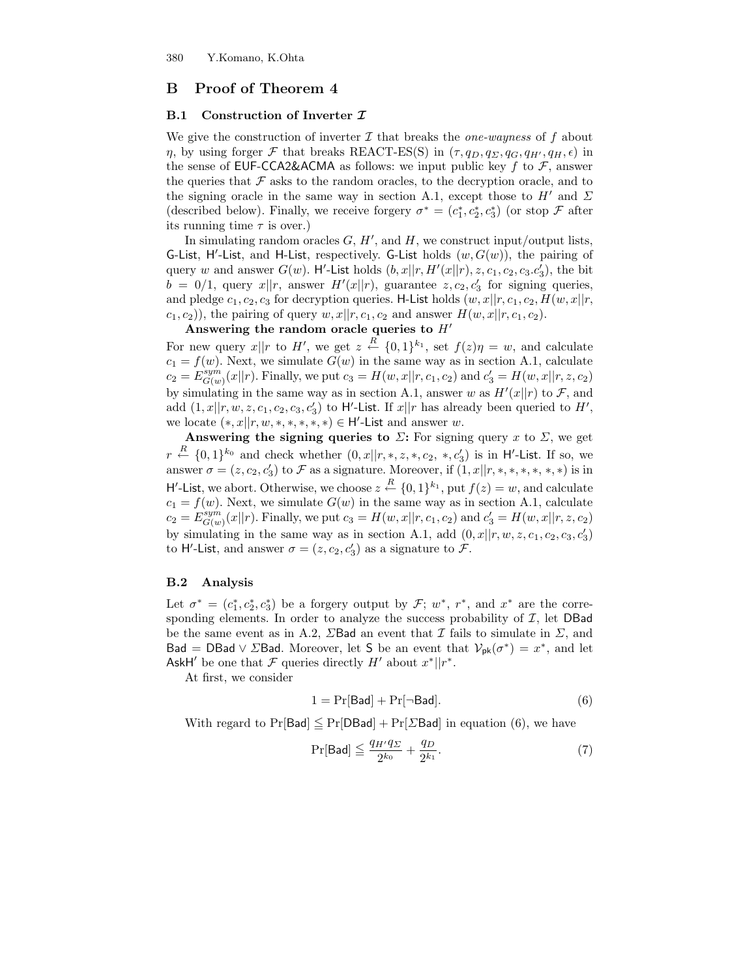# B Proof of Theorem 4

#### B.1 Construction of Inverter  $\mathcal I$

We give the construction of inverter  $\mathcal I$  that breaks the *one-wayness* of  $f$  about η, by using forger F that breaks REACT-ES(S) in  $(τ, q_D, q_\Sigma, q_G, q_{H'}, q_H, ε)$  in the sense of EUF-CCA2&ACMA as follows: we input public key f to  $\mathcal F$ , answer the queries that  $\mathcal F$  asks to the random oracles, to the decryption oracle, and to the signing oracle in the same way in section A.1, except those to  $H'$  and  $\Sigma$ (described below). Finally, we receive forgery  $\sigma^* = (c_1^*, c_2^*, c_3^*)$  (or stop  $\mathcal F$  after its running time  $\tau$  is over.)

In simulating random oracles  $G, H'$ , and  $H$ , we construct input/output lists, G-List, H'-List, and H-List, respectively. G-List holds  $(w, G(w))$ , the pairing of query w and answer  $G(w)$ . H'-List holds  $(b, x||r, H'(x||r), z, c_1, c_2, c_3.c'_3)$ , the bit  $b = 0/1$ , query  $x||r$ , answer  $H'(x||r)$ , guarantee  $z, c_2, c'_3$  for signing queries, and pledge  $c_1, c_2, c_3$  for decryption queries. H-List holds  $(w, x||r, c_1, c_2, H(w, x||r, c_3))$  $(c_1, c_2)$ , the pairing of query  $w, x||r, c_1, c_2$  and answer  $H(w, x||r, c_1, c_2)$ .

Answering the random oracle queries to  $H'$ 

For new query  $x||r$  to H', we get  $z \stackrel{R}{\leftarrow} \{0,1\}^{k_1}$ , set  $f(z)\eta = w$ , and calculate  $c_1 = f(w)$ . Next, we simulate  $G(w)$  in the same way as in section A.1, calculate  $c_2 = E_{G(w)}^{sym}$  $\int_{G(w)}^{sym}(x||r)$ . Finally, we put  $c_3 = H(w, x||r, c_1, c_2)$  and  $c'_3 = H(w, x||r, z, c_2)$ by simulating in the same way as in section A.1, answer w as  $H'(x||r)$  to  $\mathcal{F}$ , and add  $(1, x || r, w, z, c_1, c_2, c_3, c'_3)$  to H'-List. If  $x || r$  has already been queried to  $H'$ , we locate  $(*,x||r, w, *, *, *, *) \in H'-List$  and answer w.

Answering the signing queries to  $\Sigma$ : For signing query x to  $\Sigma$ , we get  $r \stackrel{R}{\leftarrow} \{0,1\}^{k_0}$  and check whether  $(0, x||r, *, z, *, c_2, *, c'_3)$  is in H'-List. If so, we answer  $\sigma = (z, c_2, c'_3)$  to  $\mathcal F$  as a signature. Moreover, if  $(1, x||r, \ast, \ast, \ast, \ast, \ast, \ast)$  is in  $\mathsf{H}'\text{-List}$ , we abort. Otherwise, we choose  $z \stackrel{R}{\leftarrow} \{0,1\}^{k_1}$ , put  $f(z) = w$ , and calculate  $c_1 = f(w)$ . Next, we simulate  $G(w)$  in the same way as in section A.1, calculate  $c_2 = E_{G(w)}^{sym}$  $\int_{G(w)}^{sym}(x||r)$ . Finally, we put  $c_3 = H(w, x||r, c_1, c_2)$  and  $c'_3 = H(w, x||r, z, c_2)$ by simulating in the same way as in section A.1, add  $(0, x||r, w, z, c_1, c_2, c_3, c'_3)$ to H'-List, and answer  $\sigma = (z, c_2, c'_3)$  as a signature to  $\mathcal{F}$ .

#### B.2 Analysis

Let  $\sigma^* = (c_1^*, c_2^*, c_3^*)$  be a forgery output by  $\mathcal{F}; w^*, r^*,$  and  $x^*$  are the corresponding elements. In order to analyze the success probability of  $\mathcal{I}$ , let DBad be the same event as in A.2,  $\Sigma$ Bad an event that  $\mathcal I$  fails to simulate in  $\Sigma$ , and Bad = DBad  $\vee$  *Σ*Bad. Moreover, let S be an event that  $V_{\mathsf{pk}}(\sigma^*) = x^*$ , and let AskH' be one that  $\mathcal F$  queries directly  $H'$  about  $x^*||r^*$ .

At first, we consider

$$
1 = \Pr[\mathsf{Bad}] + \Pr[\neg \mathsf{Bad}].\tag{6}
$$

With regard to  $Pr[Bad] \leq Pr[DBad] + Pr[\Sigma Bad]$  in equation (6), we have

$$
\Pr[\mathsf{Bad}] \le \frac{q_{H'}q_{\Sigma}}{2^{k_0}} + \frac{q_{D}}{2^{k_1}}.\tag{7}
$$